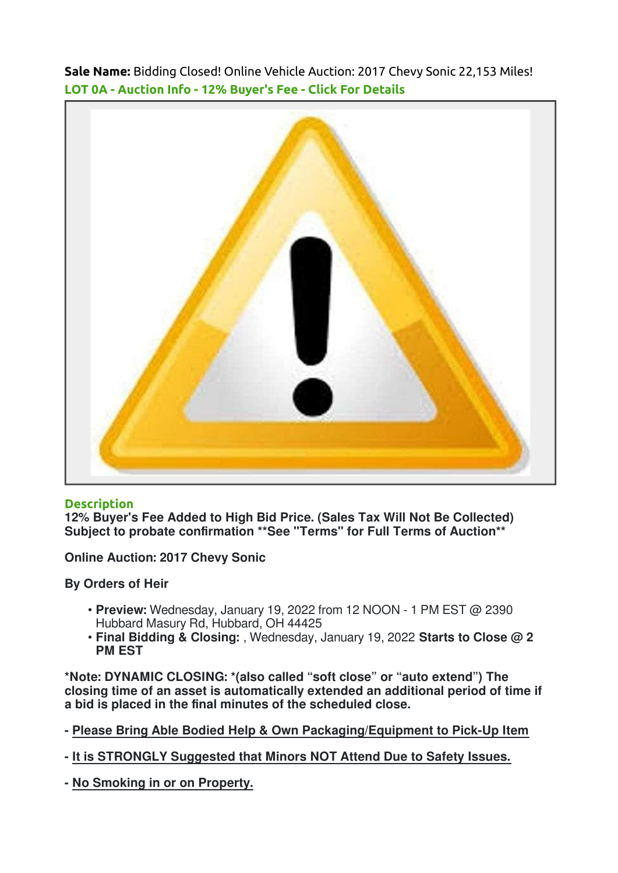Sale Name: Bidding Closed! Online Vehicle Auction: 2017 Chevy Sonic 22,153 Miles! LOT 0A - Auction Info - 12% Buyer's Fee - Click For Details



## **Description**

12% Buyer's Fee Added to High Bid Price. (Sales Tax Will Not Be Collected) Subject to probate confirmation \*\*See "Terms" for Full Terms of Auction\*\*

Online Auction: 2017 Chevy Sonic

By Orders of Heir

- Preview: Wednesday, January 19, 2022 from 12 NOON 1 PM EST @ 2390 Hubbard Masury Rd, Hubbard, OH 44425
- Final Bidding & Closing: , Wednesday, January 19, 2022 Starts to Close @ 2 PM EST

\*Note: DYNAMIC CLOSING: \*(also called "soft close" or "auto extend") The closing time of an asset is automatically extended an additional period of time if a bid is placed in the final minutes of the scheduled close.

- Please Bring Able Bodied Help & Own Packaging/Equipment to Pick-Up Item

- It is STRONGLY Suggested that Minors NOT Attend Due to Safety Issues.

- No Smoking in or on Property.